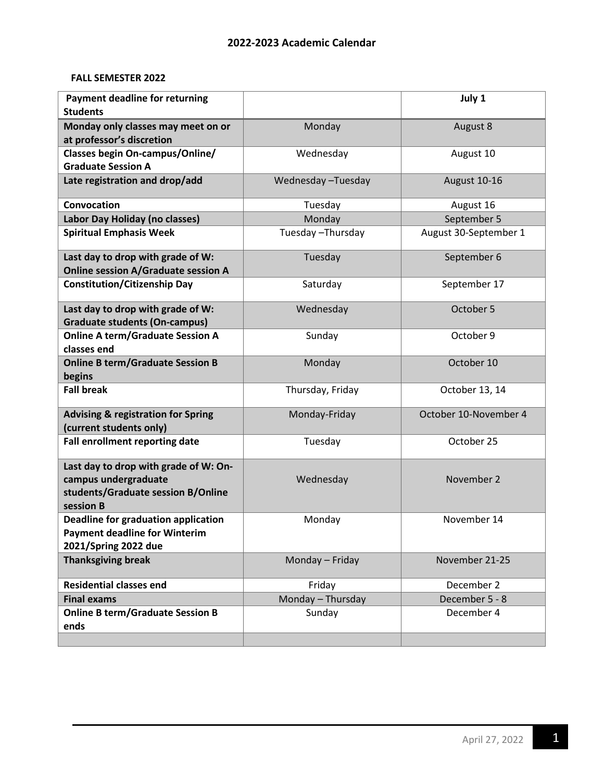## **FALL SEMESTER 2022**

| <b>Payment deadline for returning</b><br><b>Students</b>                                                         |                   | July 1                |
|------------------------------------------------------------------------------------------------------------------|-------------------|-----------------------|
| Monday only classes may meet on or<br>at professor's discretion                                                  | Monday            | August 8              |
| <b>Classes begin On-campus/Online/</b><br><b>Graduate Session A</b>                                              | Wednesday         | August 10             |
| Late registration and drop/add                                                                                   | Wednesday-Tuesday | August 10-16          |
| Convocation                                                                                                      | Tuesday           | August 16             |
| Labor Day Holiday (no classes)                                                                                   | Monday            | September 5           |
| <b>Spiritual Emphasis Week</b>                                                                                   | Tuesday-Thursday  | August 30-September 1 |
| Last day to drop with grade of W:<br><b>Online session A/Graduate session A</b>                                  | Tuesday           | September 6           |
| <b>Constitution/Citizenship Day</b>                                                                              | Saturday          | September 17          |
| Last day to drop with grade of W:<br><b>Graduate students (On-campus)</b>                                        | Wednesday         | October 5             |
| <b>Online A term/Graduate Session A</b><br>classes end                                                           | Sunday            | October 9             |
| <b>Online B term/Graduate Session B</b><br>begins                                                                | Monday            | October 10            |
| <b>Fall break</b>                                                                                                | Thursday, Friday  | October 13, 14        |
| <b>Advising &amp; registration for Spring</b><br>(current students only)                                         | Monday-Friday     | October 10-November 4 |
| Fall enrollment reporting date                                                                                   | Tuesday           | October 25            |
| Last day to drop with grade of W: On-<br>campus undergraduate<br>students/Graduate session B/Online<br>session B | Wednesday         | November 2            |
| <b>Deadline for graduation application</b><br><b>Payment deadline for Winterim</b><br>2021/Spring 2022 due       | Monday            | November 14           |
| <b>Thanksgiving break</b>                                                                                        | Monday - Friday   | November 21-25        |
| <b>Residential classes end</b>                                                                                   | Friday            | December 2            |
| <b>Final exams</b>                                                                                               | Monday - Thursday | December 5 - 8        |
| <b>Online B term/Graduate Session B</b><br>ends                                                                  | Sunday            | December 4            |
|                                                                                                                  |                   |                       |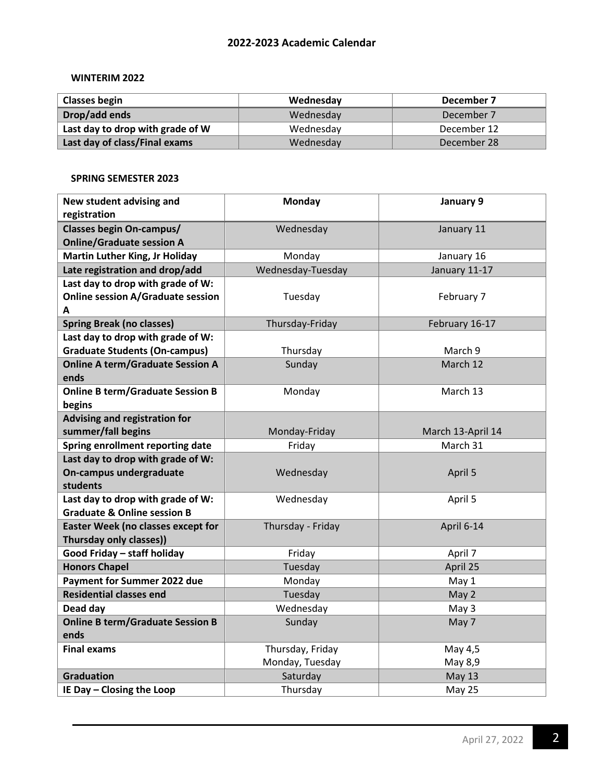## **2022-2023 Academic Calendar**

## **WINTERIM 2022**

| <b>Classes begin</b>             | Wednesday | December 7  |
|----------------------------------|-----------|-------------|
| Drop/add ends                    | Wednesday | December 7  |
| Last day to drop with grade of W | Wednesday | December 12 |
| Last day of class/Final exams    | Wednesday | December 28 |

#### **SPRING SEMESTER 2023**

| New student advising and                  | <b>Monday</b>     | January 9         |
|-------------------------------------------|-------------------|-------------------|
| registration                              |                   |                   |
| <b>Classes begin On-campus/</b>           | Wednesday         | January 11        |
| <b>Online/Graduate session A</b>          |                   |                   |
| <b>Martin Luther King, Jr Holiday</b>     | Monday            | January 16        |
| Late registration and drop/add            | Wednesday-Tuesday | January 11-17     |
| Last day to drop with grade of W:         |                   |                   |
| <b>Online session A/Graduate session</b>  | Tuesday           | February 7        |
| A                                         |                   |                   |
| <b>Spring Break (no classes)</b>          | Thursday-Friday   | February 16-17    |
| Last day to drop with grade of W:         |                   |                   |
| <b>Graduate Students (On-campus)</b>      | Thursday          | March 9           |
| <b>Online A term/Graduate Session A</b>   | Sunday            | March 12          |
| ends                                      |                   |                   |
| <b>Online B term/Graduate Session B</b>   | Monday            | March 13          |
| begins<br>Advising and registration for   |                   |                   |
| summer/fall begins                        | Monday-Friday     | March 13-April 14 |
| Spring enrollment reporting date          | Friday            | March 31          |
| Last day to drop with grade of W:         |                   |                   |
| On-campus undergraduate                   | Wednesday         | April 5           |
| students                                  |                   |                   |
| Last day to drop with grade of W:         | Wednesday         | April 5           |
| <b>Graduate &amp; Online session B</b>    |                   |                   |
| <b>Easter Week (no classes except for</b> | Thursday - Friday | April 6-14        |
| Thursday only classes))                   |                   |                   |
| Good Friday - staff holiday               | Friday            | April 7           |
| <b>Honors Chapel</b>                      | Tuesday           | April 25          |
| Payment for Summer 2022 due               | Monday            | May 1             |
| <b>Residential classes end</b>            | Tuesday           | May 2             |
| Dead day                                  | Wednesday         | May 3             |
| <b>Online B term/Graduate Session B</b>   | Sunday            | May 7             |
| ends                                      |                   |                   |
| <b>Final exams</b>                        | Thursday, Friday  | May 4,5           |
|                                           | Monday, Tuesday   | May 8,9           |
| <b>Graduation</b>                         | Saturday          | <b>May 13</b>     |
| IE Day - Closing the Loop                 | Thursday          | May 25            |